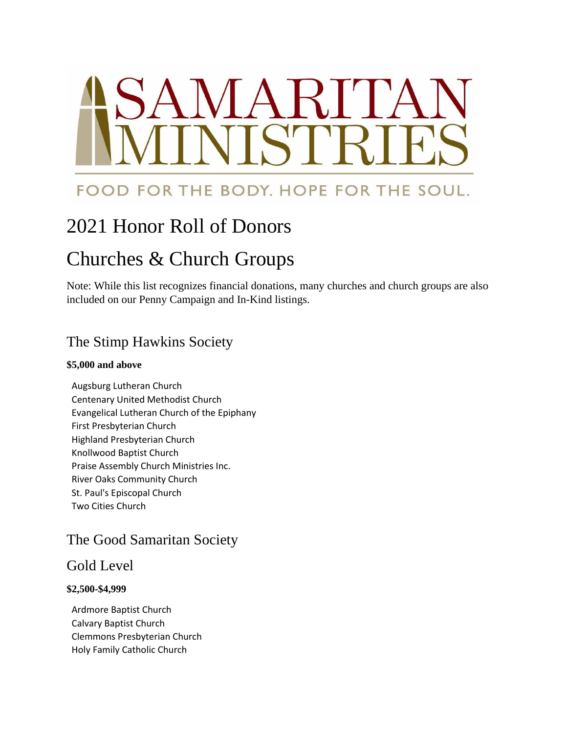# AMARITA TCr

# FOOD FOR THE BODY. HOPE FOR THE SOUL.

# 2021 Honor Roll of Donors

# Churches & Church Groups

Note: While this list recognizes financial donations, many churches and church groups are also included on our Penny Campaign and In-Kind listings.

# The Stimp Hawkins Society

#### **\$5,000 and above**

Augsburg Lutheran Church Centenary United Methodist Church Evangelical Lutheran Church of the Epiphany First Presbyterian Church Highland Presbyterian Church Knollwood Baptist Church Praise Assembly Church Ministries Inc. River Oaks Community Church St. Paul's Episcopal Church Two Cities Church

# The Good Samaritan Society

# Gold Level

#### **\$2,500-\$4,999**

Ardmore Baptist Church Calvary Baptist Church Clemmons Presbyterian Church Holy Family Catholic Church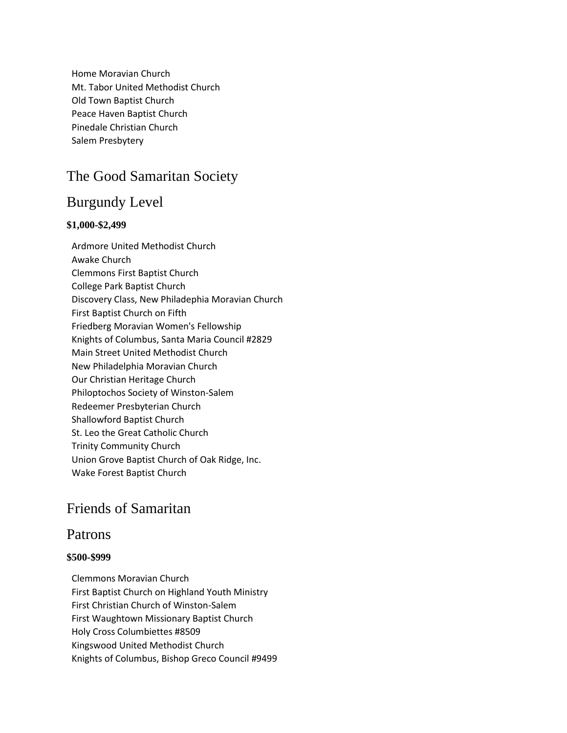Home Moravian Church Mt. Tabor United Methodist Church Old Town Baptist Church Peace Haven Baptist Church Pinedale Christian Church Salem Presbytery

# The Good Samaritan Society

# Burgundy Level

#### **\$1,000-\$2,499**

Ardmore United Methodist Church Awake Church Clemmons First Baptist Church College Park Baptist Church Discovery Class, New Philadephia Moravian Church First Baptist Church on Fifth Friedberg Moravian Women's Fellowship Knights of Columbus, Santa Maria Council #2829 Main Street United Methodist Church New Philadelphia Moravian Church Our Christian Heritage Church Philoptochos Society of Winston-Salem Redeemer Presbyterian Church Shallowford Baptist Church St. Leo the Great Catholic Church Trinity Community Church Union Grove Baptist Church of Oak Ridge, Inc. Wake Forest Baptist Church

# Friends of Samaritan

#### Patrons

#### **\$500-\$999**

Clemmons Moravian Church First Baptist Church on Highland Youth Ministry First Christian Church of Winston-Salem First Waughtown Missionary Baptist Church Holy Cross Columbiettes #8509 Kingswood United Methodist Church Knights of Columbus, Bishop Greco Council #9499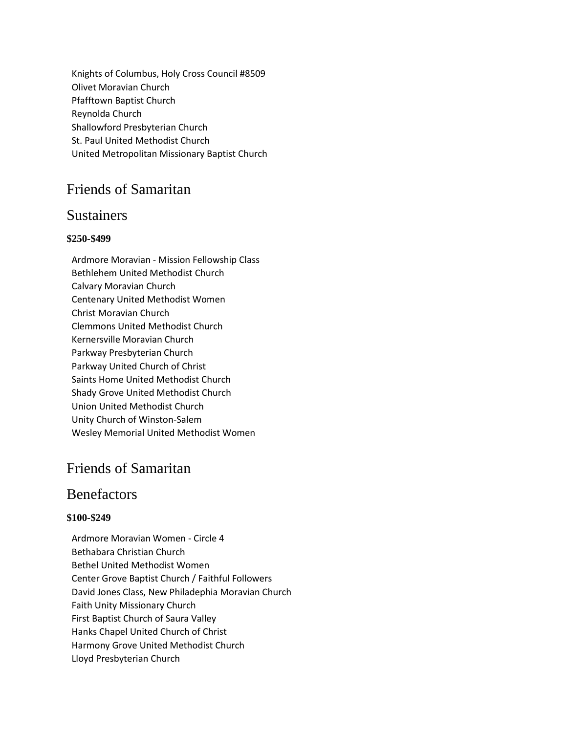Knights of Columbus, Holy Cross Council #8509 Olivet Moravian Church Pfafftown Baptist Church Reynolda Church Shallowford Presbyterian Church St. Paul United Methodist Church United Metropolitan Missionary Baptist Church

# Friends of Samaritan

#### **Sustainers**

#### **\$250-\$499**

Ardmore Moravian - Mission Fellowship Class Bethlehem United Methodist Church Calvary Moravian Church Centenary United Methodist Women Christ Moravian Church Clemmons United Methodist Church Kernersville Moravian Church Parkway Presbyterian Church Parkway United Church of Christ Saints Home United Methodist Church Shady Grove United Methodist Church Union United Methodist Church Unity Church of Winston-Salem Wesley Memorial United Methodist Women

# Friends of Samaritan

### **Benefactors**

#### **\$100-\$249**

Ardmore Moravian Women - Circle 4 Bethabara Christian Church Bethel United Methodist Women Center Grove Baptist Church / Faithful Followers David Jones Class, New Philadephia Moravian Church Faith Unity Missionary Church First Baptist Church of Saura Valley Hanks Chapel United Church of Christ Harmony Grove United Methodist Church Lloyd Presbyterian Church